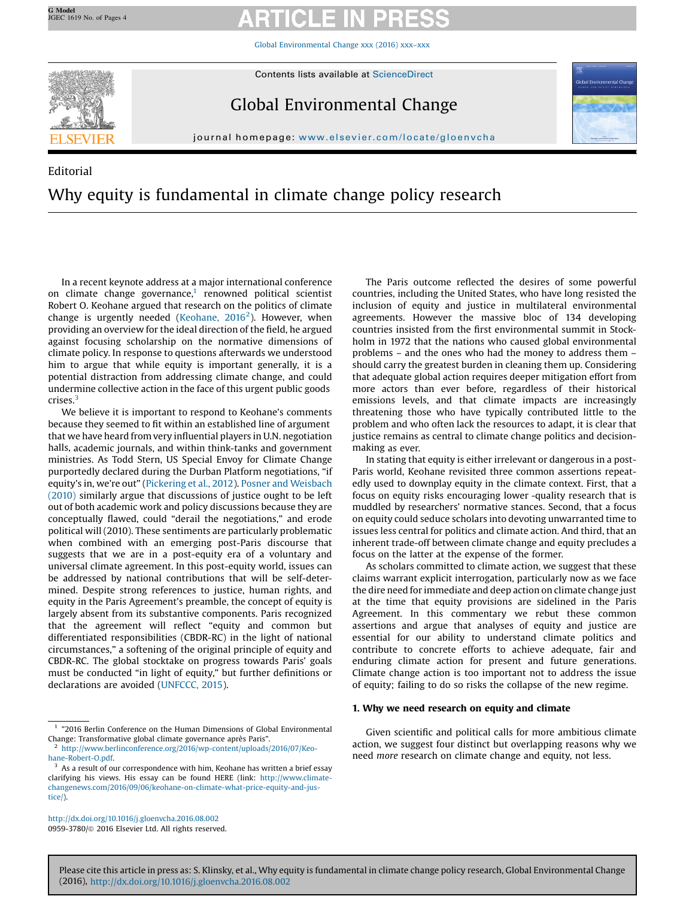Global [Environmental](http://dx.doi.org/10.1016/j.gloenvcha.2016.08.002) Change xxx (2016) xxx–xxx



# Global Environmental Change



journal homepage: <www.elsevier.com/locate/gloenvcha>alsevier.com/locate/gloenvchaalsevier.com/locate/gloenvchaalsevier.com/locate/gloenvchaalsevier.com/locate/gloenvchaalsevier.com/locate/gloenvchaalsevier.com/locate/gloen

# Editorial Why equity is fundamental in climate change policy research

In a recent keynote address at a major international conference on climate change governance, $1$  renowned political scientist Robert O. Keohane argued that research on the politics of climate change is urgently needed ([Keohane,](#page-2-0) 2016<sup>2</sup>). However, when providing an overview for the ideal direction of the field, he argued against focusing scholarship on the normative dimensions of climate policy. In response to questions afterwards we understood him to argue that while equity is important generally, it is a potential distraction from addressing climate change, and could undermine collective action in the face of this urgent public goods crises.<sup>3</sup>

We believe it is important to respond to Keohane's comments because they seemed to fit within an established line of argument that we have heard fromvery influential players in U.N. negotiation halls, academic journals, and within think-tanks and government ministries. As Todd Stern, US Special Envoy for Climate Change purportedly declared during the Durban Platform negotiations, "if equity's in, we're out" [\(Pickering](#page-2-0) et al., 2012). Posner and [Weisbach](#page-2-0) [\(2010\)](#page-2-0) similarly argue that discussions of justice ought to be left out of both academic work and policy discussions because they are conceptually flawed, could "derail the negotiations," and erode political will (2010). These sentiments are particularly problematic when combined with an emerging post-Paris discourse that suggests that we are in a post-equity era of a voluntary and universal climate agreement. In this post-equity world, issues can be addressed by national contributions that will be self-determined. Despite strong references to justice, human rights, and equity in the Paris Agreement's preamble, the concept of equity is largely absent from its substantive components. Paris recognized that the agreement will reflect "equity and common but differentiated responsibilities (CBDR-RC) in the light of national circumstances," a softening of the original principle of equity and CBDR-RC. The global stocktake on progress towards Paris' goals must be conducted "in light of equity," but further definitions or declarations are avoided [\(UNFCCC,](#page-2-0) 2015).

<http://dx.doi.org/10.1016/j.gloenvcha.2016.08.002> 0959-3780/ã 2016 Elsevier Ltd. All rights reserved.

The Paris outcome reflected the desires of some powerful countries, including the United States, who have long resisted the inclusion of equity and justice in multilateral environmental agreements. However the massive bloc of 134 developing countries insisted from the first environmental summit in Stockholm in 1972 that the nations who caused global environmental problems – and the ones who had the money to address them – should carry the greatest burden in cleaning them up. Considering that adequate global action requires deeper mitigation effort from more actors than ever before, regardless of their historical emissions levels, and that climate impacts are increasingly threatening those who have typically contributed little to the problem and who often lack the resources to adapt, it is clear that justice remains as central to climate change politics and decisionmaking as ever.

In stating that equity is either irrelevant or dangerous in a post-Paris world, Keohane revisited three common assertions repeatedly used to downplay equity in the climate context. First, that a focus on equity risks encouraging lower -quality research that is muddled by researchers' normative stances. Second, that a focus on equity could seduce scholars into devoting unwarranted time to issues less central for politics and climate action. And third, that an inherent trade-off between climate change and equity precludes a focus on the latter at the expense of the former.

As scholars committed to climate action, we suggest that these claims warrant explicit interrogation, particularly now as we face the dire need for immediate and deep action on climate change just at the time that equity provisions are sidelined in the Paris Agreement. In this commentary we rebut these common assertions and argue that analyses of equity and justice are essential for our ability to understand climate politics and contribute to concrete efforts to achieve adequate, fair and enduring climate action for present and future generations. Climate change action is too important not to address the issue of equity; failing to do so risks the collapse of the new regime.

# 1. Why we need research on equity and climate

Given scientific and political calls for more ambitious climate action, we suggest four distinct but overlapping reasons why we need more research on climate change and equity, not less.

<sup>1</sup> "2016 Berlin Conference on the Human Dimensions of Global Environmental Change: Transformative global climate governance après Paris".

<sup>2</sup> [http://www.berlinconference.org/2016/wp-content/uploads/2016/07/Keo](http://www.berlinconference.org/2016/wp-content/uploads/2016/07/Keohane-Robert-O.pdf)[hane-Robert-O.pdf.](http://www.berlinconference.org/2016/wp-content/uploads/2016/07/Keohane-Robert-O.pdf)

As a result of our correspondence with him, Keohane has written a brief essay clarifying his views. His essay can be found HERE (link: [http://www.climate](http://www.climatechangenews.com/2016/09/06/keohane-on-climate-what-price-equity-and-justice/)[changenews.com/2016/09/06/keohane-on-climate-what-price-equity-and-jus](http://www.climatechangenews.com/2016/09/06/keohane-on-climate-what-price-equity-and-justice/)[tice/\)](http://www.climatechangenews.com/2016/09/06/keohane-on-climate-what-price-equity-and-justice/).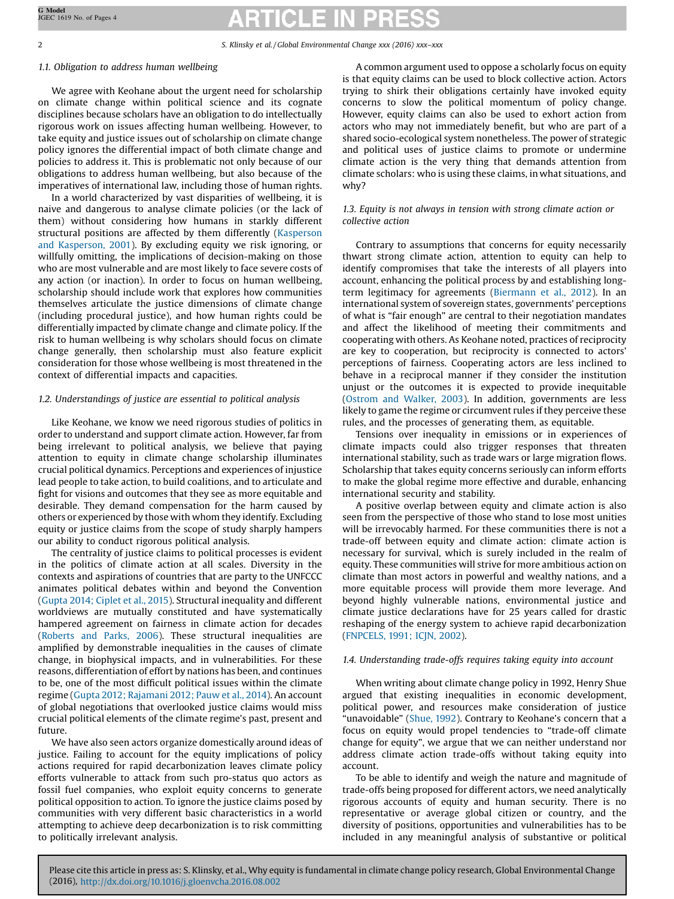2 S. Klinsky et al. / Global Environmental Change xxx (2016) xxx–xxx

## 1.1. Obligation to address human wellbeing

We agree with Keohane about the urgent need for scholarship on climate change within political science and its cognate disciplines because scholars have an obligation to do intellectually rigorous work on issues affecting human wellbeing. However, to take equity and justice issues out of scholarship on climate change policy ignores the differential impact of both climate change and policies to address it. This is problematic not only because of our obligations to address human wellbeing, but also because of the imperatives of international law, including those of human rights.

In a world characterized by vast disparities of wellbeing, it is naive and dangerous to analyse climate policies (or the lack of them) without considering how humans in starkly different structural positions are affected by them differently [\(Kasperson](#page-2-0) and [Kasperson,](#page-2-0) 2001). By excluding equity we risk ignoring, or willfully omitting, the implications of decision-making on those who are most vulnerable and are most likely to face severe costs of any action (or inaction). In order to focus on human wellbeing, scholarship should include work that explores how communities themselves articulate the justice dimensions of climate change (including procedural justice), and how human rights could be differentially impacted by climate change and climate policy. If the risk to human wellbeing is why scholars should focus on climate change generally, then scholarship must also feature explicit consideration for those whose wellbeing is most threatened in the context of differential impacts and capacities.

# 1.2. Understandings of justice are essential to political analysis

Like Keohane, we know we need rigorous studies of politics in order to understand and support climate action. However, far from being irrelevant to political analysis, we believe that paying attention to equity in climate change scholarship illuminates crucial political dynamics. Perceptions and experiences of injustice lead people to take action, to build coalitions, and to articulate and fight for visions and outcomes that they see as more equitable and desirable. They demand compensation for the harm caused by others or experienced by those with whom they identify. Excluding equity or justice claims from the scope of study sharply hampers our ability to conduct rigorous political analysis.

The centrality of justice claims to political processes is evident in the politics of climate action at all scales. Diversity in the contexts and aspirations of countries that are party to the UNFCCC animates political debates within and beyond the Convention ([Gupta](#page-2-0) 2014; Ciplet et al., 2015). Structural inequality and different worldviews are mutually constituted and have systematically hampered agreement on fairness in climate action for decades ([Roberts](#page-2-0) and Parks, 2006). These structural inequalities are amplified by demonstrable inequalities in the causes of climate change, in biophysical impacts, and in vulnerabilities. For these reasons, differentiation of effort by nations has been, and continues to be, one of the most difficult political issues within the climate regime (Gupta 2012; [Rajamani](#page-2-0) 2012; Pauw et al., 2014). An account of global negotiations that overlooked justice claims would miss crucial political elements of the climate regime's past, present and future.

We have also seen actors organize domestically around ideas of justice. Failing to account for the equity implications of policy actions required for rapid decarbonization leaves climate policy efforts vulnerable to attack from such pro-status quo actors as fossil fuel companies, who exploit equity concerns to generate political opposition to action. To ignore the justice claims posed by communities with very different basic characteristics in a world attempting to achieve deep decarbonization is to risk committing to politically irrelevant analysis.

A common argument used to oppose a scholarly focus on equity is that equity claims can be used to block collective action. Actors trying to shirk their obligations certainly have invoked equity concerns to slow the political momentum of policy change. However, equity claims can also be used to exhort action from actors who may not immediately benefit, but who are part of a shared socio-ecological system nonetheless. The power of strategic and political uses of justice claims to promote or undermine climate action is the very thing that demands attention from climate scholars: who is using these claims, in what situations, and why?

### 1.3. Equity is not always in tension with strong climate action or collective action

Contrary to assumptions that concerns for equity necessarily thwart strong climate action, attention to equity can help to identify compromises that take the interests of all players into account, enhancing the political process by and establishing longterm legitimacy for agreements [\(Biermann](#page-2-0) et al., 2012). In an international system of sovereign states, governments' perceptions of what is "fair enough" are central to their negotiation mandates and affect the likelihood of meeting their commitments and cooperating with others. As Keohane noted, practices of reciprocity are key to cooperation, but reciprocity is connected to actors' perceptions of fairness. Cooperating actors are less inclined to behave in a reciprocal manner if they consider the institution unjust or the outcomes it is expected to provide inequitable (Ostrom and [Walker,](#page-2-0) 2003). In addition, governments are less likely to game the regime or circumvent rules if they perceive these rules, and the processes of generating them, as equitable.

Tensions over inequality in emissions or in experiences of climate impacts could also trigger responses that threaten international stability, such as trade wars or large migration flows. Scholarship that takes equity concerns seriously can inform efforts to make the global regime more effective and durable, enhancing international security and stability.

A positive overlap between equity and climate action is also seen from the perspective of those who stand to lose most unities will be irrevocably harmed. For these communities there is not a trade-off between equity and climate action: climate action is necessary for survival, which is surely included in the realm of equity. These communities will strive for more ambitious action on climate than most actors in powerful and wealthy nations, and a more equitable process will provide them more leverage. And beyond highly vulnerable nations, environmental justice and climate justice declarations have for 25 years called for drastic reshaping of the energy system to achieve rapid decarbonization ([FNPCELS,](#page-2-0) 1991; ICJN, 2002).

# 1.4. Understanding trade-offs requires taking equity into account

When writing about climate change policy in 1992, Henry Shue argued that existing inequalities in economic development, political power, and resources make consideration of justice "unavoidable" ([Shue,](#page-2-0) 1992). Contrary to Keohane's concern that a focus on equity would propel tendencies to "trade-off climate change for equity", we argue that we can neither understand nor address climate action trade-offs without taking equity into account.

To be able to identify and weigh the nature and magnitude of trade-offs being proposed for different actors, we need analytically rigorous accounts of equity and human security. There is no representative or average global citizen or country, and the diversity of positions, opportunities and vulnerabilities has to be included in any meaningful analysis of substantive or political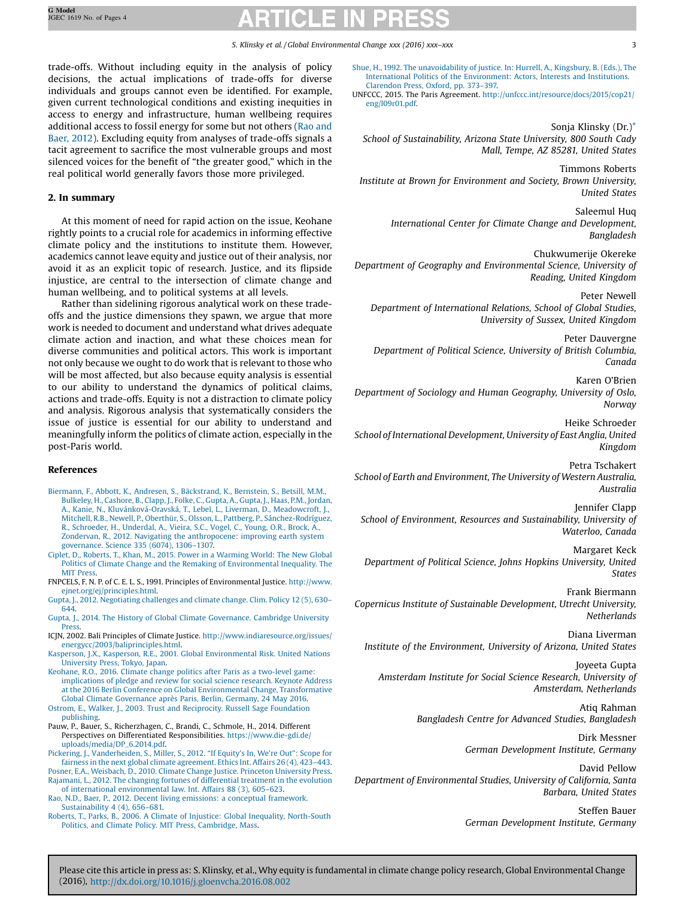<span id="page-2-0"></span>trade-offs. Without including equity in the analysis of policy decisions, the actual implications of trade-offs for diverse individuals and groups cannot even be identified. For example, given current technological conditions and existing inequities in access to energy and infrastructure, human wellbeing requires additional access to fossil energy for some but not others (Rao and Baer, 2012). Excluding equity from analyses of trade-offs signals a tacit agreement to sacrifice the most vulnerable groups and most silenced voices for the benefit of "the greater good," which in the real political world generally favors those more privileged.

# 2. In summary

At this moment of need for rapid action on the issue, Keohane rightly points to a crucial role for academics in informing effective climate policy and the institutions to institute them. However, academics cannot leave equity and justice out of their analysis, nor avoid it as an explicit topic of research. Justice, and its flipside injustice, are central to the intersection of climate change and human wellbeing, and to political systems at all levels.

Rather than sidelining rigorous analytical work on these tradeoffs and the justice dimensions they spawn, we argue that more work is needed to document and understand what drives adequate climate action and inaction, and what these choices mean for diverse communities and political actors. This work is important not only because we ought to do work that is relevant to those who will be most affected, but also because equity analysis is essential to our ability to understand the dynamics of political claims, actions and trade-offs. Equity is not a distraction to climate policy and analysis. Rigorous analysis that systematically considers the issue of justice is essential for our ability to understand and meaningfully inform the politics of climate action, especially in the post-Paris world.

### References

- Biermann, F., Abbott, K., Andresen, S., [Bäckstrand,](http://refhub.elsevier.com/S0959-3780(16)30128-5/sbref0005) K., Bernstein, S., Betsill, M.M., [Bulkeley,](http://refhub.elsevier.com/S0959-3780(16)30128-5/sbref0005) H., Cashore, B., Clapp, J., Folke, C., Gupta, A., Gupta, J., Haas, P.M., Jordan, A., Kanie, N., [Kluvánková-Oravská,](http://refhub.elsevier.com/S0959-3780(16)30128-5/sbref0005) T., Lebel, L., Liverman, D., Meadowcroft, J., Mitchell, R.B., Newell, P., Oberthür, S., Olsson, L., Pattberg, P., [Sánchez-Rodríguez,](http://refhub.elsevier.com/S0959-3780(16)30128-5/sbref0005) R., [Schroeder,](http://refhub.elsevier.com/S0959-3780(16)30128-5/sbref0005) H., Underdal, A., Vieira, S.C., Vogel, C., Young, O.R., Brock, A., Zondervan, R., 2012. Navigating the [anthropocene:](http://refhub.elsevier.com/S0959-3780(16)30128-5/sbref0005) improving earth system [governance.](http://refhub.elsevier.com/S0959-3780(16)30128-5/sbref0005) Science 335 (6074), 1306–1307.
- Ciplet, D., Roberts, T., Khan, M., 2015. Power in a [Warming](http://refhub.elsevier.com/S0959-3780(16)30128-5/sbref0010) World: The New Global Politics of Climate Change and the Remaking of [Environmental](http://refhub.elsevier.com/S0959-3780(16)30128-5/sbref0010) Inequality. The **MIT [Press](http://refhub.elsevier.com/S0959-3780(16)30128-5/sbref0010)**
- FNPCELS, F. N. P. of C. E. L. S., 1991. Principles of Environmental Justice. [http://www.](http://www.ejnet.org/ej/principles.html) [ejnet.org/ej/principles.html](http://www.ejnet.org/ej/principles.html).
- Gupta, J., 2012. [Negotiating](http://refhub.elsevier.com/S0959-3780(16)30128-5/sbref0020) challenges and climate change. Clim. Policy 12 (5), 630– [644](http://refhub.elsevier.com/S0959-3780(16)30128-5/sbref0020).
- Gupta, J., 2014. The History of Global Climate [Governance.](http://refhub.elsevier.com/S0959-3780(16)30128-5/sbref0025) Cambridge University [Press](http://refhub.elsevier.com/S0959-3780(16)30128-5/sbref0025).
- ICJN, 2002. Bali Principles of Climate Justice. [http://www.indiaresource.org/issues/](http://www.indiaresource.org/issues/energycc/2003/baliprinciples.html) [energycc/2003/baliprinciples.html.](http://www.indiaresource.org/issues/energycc/2003/baliprinciples.html)
- Kasperson, J.X., Kasperson, R.E., 2001. Global [Environmental](http://refhub.elsevier.com/S0959-3780(16)30128-5/sbref0035) Risk. United Nations [University](http://refhub.elsevier.com/S0959-3780(16)30128-5/sbref0035) Press, Tokyo, Japan.
- Keohane, R.O., 2016. Climate change politics after Paris as a [two-level](http://refhub.elsevier.com/S0959-3780(16)30128-5/sbref0040) game: [implications](http://refhub.elsevier.com/S0959-3780(16)30128-5/sbref0040) of pledge and review for social science research. Keynote Address at the 2016 Berlin Conference on Global Environmental Change, [Transformative](http://refhub.elsevier.com/S0959-3780(16)30128-5/sbref0040) Global Climate [Governance](http://refhub.elsevier.com/S0959-3780(16)30128-5/sbref0040) après Paris, Berlin, Germany, 24 May 2016.
- Ostrom, E., Walker, J., 2003. Trust and [Reciprocity.](http://refhub.elsevier.com/S0959-3780(16)30128-5/sbref0045) Russell Sage Foundation [publishing.](http://refhub.elsevier.com/S0959-3780(16)30128-5/sbref0045)
- Pauw, P., Bauer, S., Richerzhagen, C., Brandi, C., Schmole, H., 2014. Different Perspectives on Differentiated Responsibilities. [https://www.die-gdi.de/](http://https://www.die-gdi.de/uploads/media/DP_6.2014.pdf) [uploads/media/DP\\_6.2014.pdf.](http://https://www.die-gdi.de/uploads/media/DP_6.2014.pdf)
- Pickering, J., [Vanderheiden,](http://refhub.elsevier.com/S0959-3780(16)30128-5/sbref0055) S., Miller, S., 2012. "If Equity's In, We're Out": Scope for fairness in the next global climate [agreement.](http://refhub.elsevier.com/S0959-3780(16)30128-5/sbref0055) Ethics Int. Affairs 26 (4), 423–443.
- Posner, E.A., Weisbach, D., 2010. Climate Change Justice. Princeton [University](http://refhub.elsevier.com/S0959-3780(16)30128-5/sbref0060) Press. Rajamani, L., 2012. The changing fortunes of [differential](http://refhub.elsevier.com/S0959-3780(16)30128-5/sbref0065) treatment in the evolution of international [environmental](http://refhub.elsevier.com/S0959-3780(16)30128-5/sbref0065) law. Int. Affairs 88 (3), 605–623.
- Rao, N.D., Baer, P., 2012. Decent living emissions: a conceptual [framework.](http://refhub.elsevier.com/S0959-3780(16)30128-5/sbref0070) [Sustainability](http://refhub.elsevier.com/S0959-3780(16)30128-5/sbref0070) 4 (4), 656–681.
- Roberts, T., Parks, B., 2006. A Climate of Injustice: Global Inequality, [North-South](http://refhub.elsevier.com/S0959-3780(16)30128-5/sbref0075) Politics, and Climate Policy. MIT Press, [Cambridge,](http://refhub.elsevier.com/S0959-3780(16)30128-5/sbref0075) Mass.

Shue, H., 1992. The [unavoidability](http://refhub.elsevier.com/S0959-3780(16)30128-5/sbref0080) of justice. In: Hurrell, A., Kingsbury, B. (Eds.), The International Politics of the [Environment:](http://refhub.elsevier.com/S0959-3780(16)30128-5/sbref0080) Actors, Interests and Institutions. [Clarendon](http://refhub.elsevier.com/S0959-3780(16)30128-5/sbref0080) Press, Oxford, pp. 373–397.

UNFCCC, 2015. The Paris Agreement. [http://unfccc.int/resource/docs/2015/cop21/](http://unfccc.int/resource/docs/2015/cop21/eng/l09r01.pdf) [eng/l09r01.pdf.](http://unfccc.int/resource/docs/2015/cop21/eng/l09r01.pdf)

Sonja Klinsky (Dr.)[\\*](#page-3-0)

School of Sustainability, Arizona State University, 800 South Cady Mall, Tempe, AZ 85281, United States

Timmons Roberts Institute at Brown for Environment and Society, Brown University, United States

> Saleemul Huq International Center for Climate Change and Development, Bangladesh

Chukwumerije Okereke Department of Geography and Environmental Science, University of Reading, United Kingdom

Peter Newell Department of International Relations, School of Global Studies, University of Sussex, United Kingdom

Peter Dauvergne Department of Political Science, University of British Columbia, Canada

Karen O'Brien Department of Sociology and Human Geography, University of Oslo, Norway

Heike Schroeder School of International Development, University of East Anglia, United Kingdom

Petra Tschakert School of Earth and Environment, The University of Western Australia, Australia

Jennifer Clapp School of Environment, Resources and Sustainability, University of Waterloo, Canada

Margaret Keck Department of Political Science, Johns Hopkins University, United States

Frank Biermann Copernicus Institute of Sustainable Development, Utrecht University, Netherlands

Diana Liverman Institute of the Environment, University of Arizona, United States

Joyeeta Gupta Amsterdam Institute for Social Science Research, University of Amsterdam, Netherlands

> Atiq Rahman Bangladesh Centre for Advanced Studies, Bangladesh

> > Dirk Messner German Development Institute, Germany

David Pellow Department of Environmental Studies, University of California, Santa Barbara, United States

> Steffen Bauer German Development Institute, Germany

Please cite this article in press as: S. Klinsky, et al., Why equity is fundamental in climate change policy research, Global Environmental Change (2016), <http://dx.doi.org/10.1016/j.gloenvcha.2016.08.002>